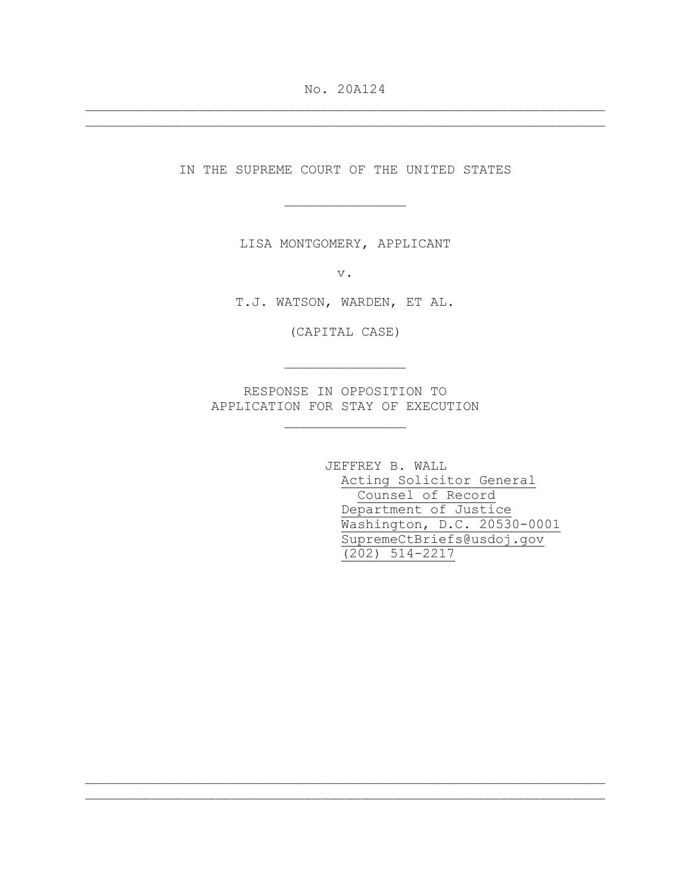No. 20A124 \_\_\_\_\_\_\_\_\_\_\_\_\_\_\_\_\_\_\_\_\_\_\_\_\_\_\_\_\_\_\_\_\_\_\_\_\_\_\_\_\_\_\_\_\_\_\_\_\_\_\_\_\_\_\_\_\_\_\_\_\_\_\_\_

\_\_\_\_\_\_\_\_\_\_\_\_\_\_\_\_\_\_\_\_\_\_\_\_\_\_\_\_\_\_\_\_\_\_\_\_\_\_\_\_\_\_\_\_\_\_\_\_\_\_\_\_\_\_\_\_\_\_\_\_\_\_\_\_

IN THE SUPREME COURT OF THE UNITED STATES

\_\_\_\_\_\_\_\_\_\_\_\_\_\_\_

LISA MONTGOMERY, APPLICANT

v.

T.J. WATSON, WARDEN, ET AL.

(CAPITAL CASE)

\_\_\_\_\_\_\_\_\_\_\_\_\_\_\_

RESPONSE IN OPPOSITION TO APPLICATION FOR STAY OF EXECUTION

\_\_\_\_\_\_\_\_\_\_\_\_\_\_\_

\_\_\_\_\_\_\_\_\_\_\_\_\_\_\_\_\_\_\_\_\_\_\_\_\_\_\_\_\_\_\_\_\_\_\_\_\_\_\_\_\_\_\_\_\_\_\_\_\_\_\_\_\_\_\_\_\_\_\_\_\_\_\_\_ \_\_\_\_\_\_\_\_\_\_\_\_\_\_\_\_\_\_\_\_\_\_\_\_\_\_\_\_\_\_\_\_\_\_\_\_\_\_\_\_\_\_\_\_\_\_\_\_\_\_\_\_\_\_\_\_\_\_\_\_\_\_\_\_

JEFFREY B. WALL Acting Solicitor General Counsel of Record Department of Justice Washington, D.C. 20530-0001 SupremeCtBriefs@usdoj.gov (202) 514-2217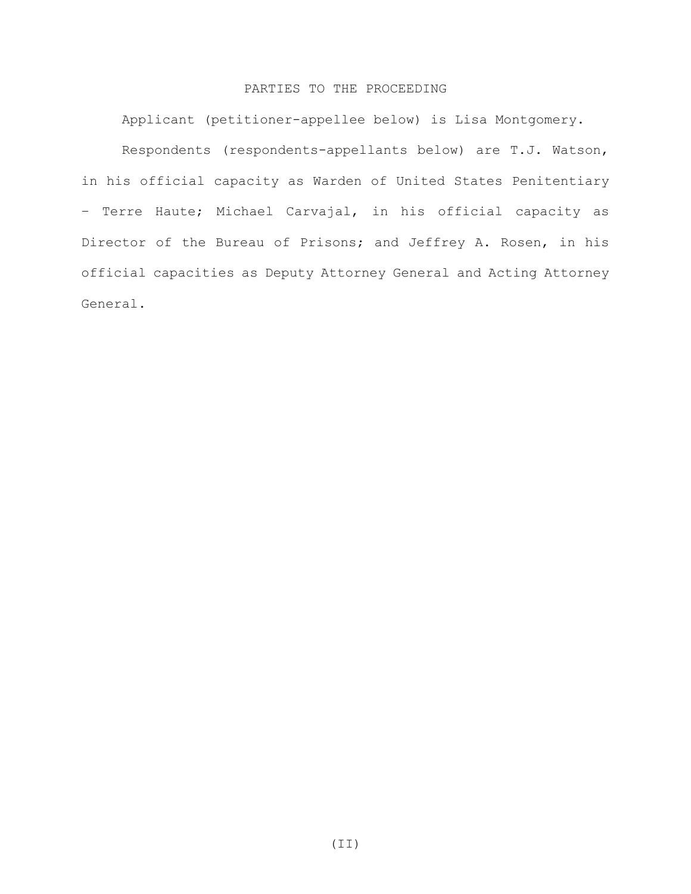### PARTIES TO THE PROCEEDING

Applicant (petitioner-appellee below) is Lisa Montgomery. Respondents (respondents-appellants below) are T.J. Watson, in his official capacity as Warden of United States Penitentiary – Terre Haute; Michael Carvajal, in his official capacity as Director of the Bureau of Prisons; and Jeffrey A. Rosen, in his official capacities as Deputy Attorney General and Acting Attorney General.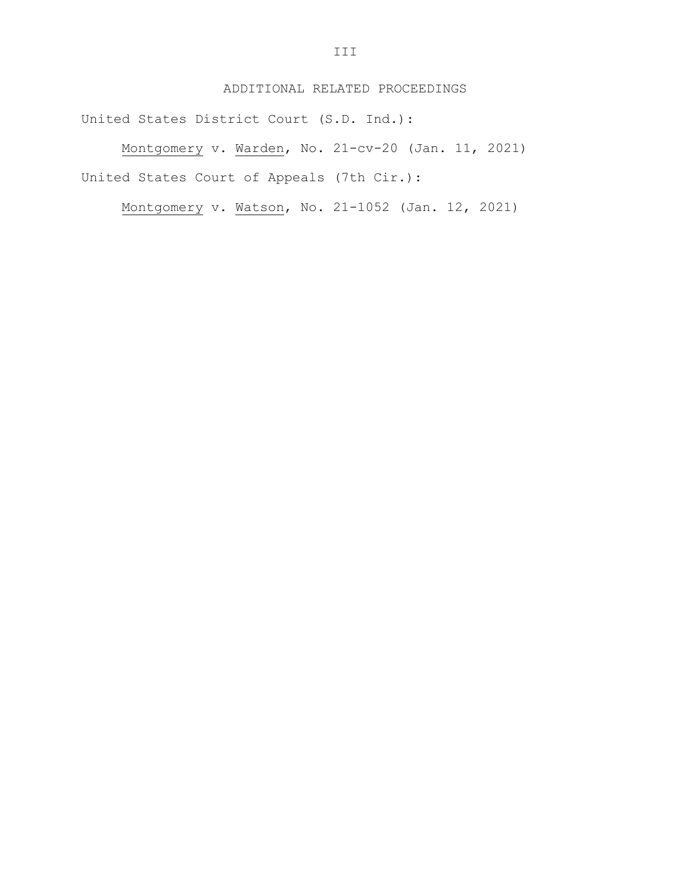### ADDITIONAL RELATED PROCEEDINGS

United States District Court (S.D. Ind.):

Montgomery v. Warden, No. 21-cv-20 (Jan. 11, 2021) United States Court of Appeals (7th Cir.):

Montgomery v. Watson, No. 21-1052 (Jan. 12, 2021)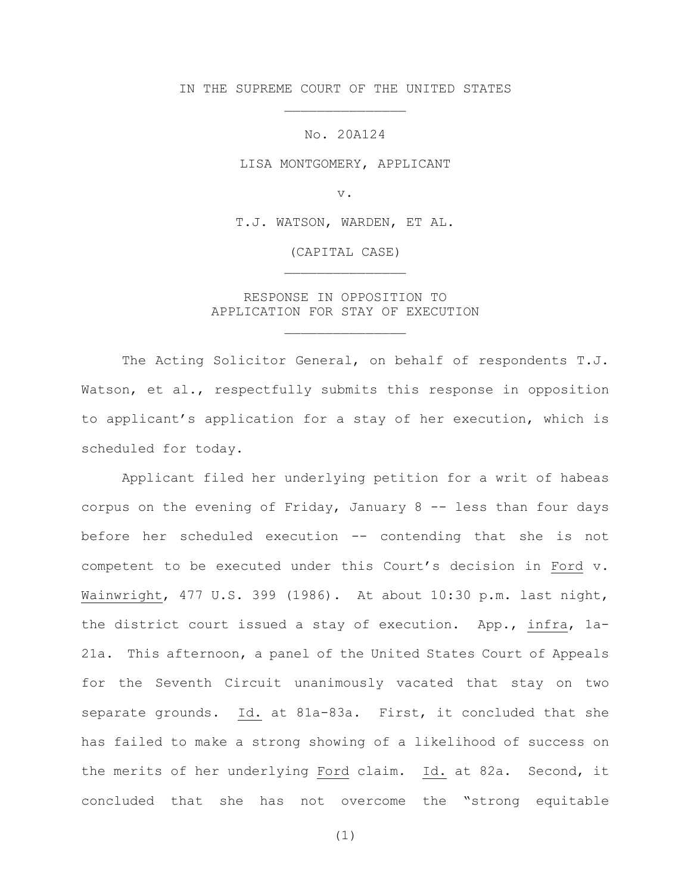IN THE SUPREME COURT OF THE UNITED STATES \_\_\_\_\_\_\_\_\_\_\_\_\_\_\_

No. 20A124

LISA MONTGOMERY, APPLICANT

v.

T.J. WATSON, WARDEN, ET AL.

(CAPITAL CASE) \_\_\_\_\_\_\_\_\_\_\_\_\_\_\_

RESPONSE IN OPPOSITION TO APPLICATION FOR STAY OF EXECUTION

\_\_\_\_\_\_\_\_\_\_\_\_\_\_\_

The Acting Solicitor General, on behalf of respondents T.J. Watson, et al., respectfully submits this response in opposition to applicant's application for a stay of her execution, which is scheduled for today.

Applicant filed her underlying petition for a writ of habeas corpus on the evening of Friday, January  $8 - -$  less than four days before her scheduled execution -- contending that she is not competent to be executed under this Court's decision in Ford v. Wainwright, 477 U.S. 399 (1986). At about 10:30 p.m. last night, the district court issued a stay of execution. App., infra, 1a-21a. This afternoon, a panel of the United States Court of Appeals for the Seventh Circuit unanimously vacated that stay on two separate grounds. Id. at 81a-83a. First, it concluded that she has failed to make a strong showing of a likelihood of success on the merits of her underlying Ford claim. Id. at 82a. Second, it concluded that she has not overcome the "strong equitable

(1)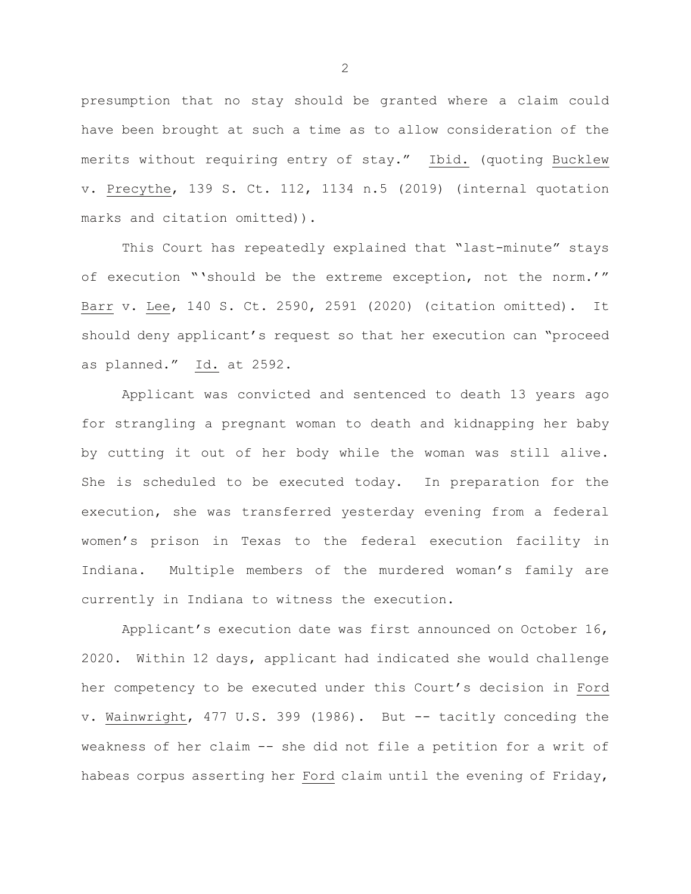presumption that no stay should be granted where a claim could have been brought at such a time as to allow consideration of the merits without requiring entry of stay." Ibid. (quoting Bucklew v. Precythe, 139 S. Ct. 112, 1134 n.5 (2019) (internal quotation marks and citation omitted)).

This Court has repeatedly explained that "last-minute" stays of execution "'should be the extreme exception, not the norm.'" Barr v. Lee, 140 S. Ct. 2590, 2591 (2020) (citation omitted). It should deny applicant's request so that her execution can "proceed as planned." Id. at 2592.

Applicant was convicted and sentenced to death 13 years ago for strangling a pregnant woman to death and kidnapping her baby by cutting it out of her body while the woman was still alive. She is scheduled to be executed today. In preparation for the execution, she was transferred yesterday evening from a federal women's prison in Texas to the federal execution facility in Indiana. Multiple members of the murdered woman's family are currently in Indiana to witness the execution.

Applicant's execution date was first announced on October 16, 2020. Within 12 days, applicant had indicated she would challenge her competency to be executed under this Court's decision in Ford v. Wainwright, 477 U.S. 399 (1986). But -- tacitly conceding the weakness of her claim -- she did not file a petition for a writ of habeas corpus asserting her Ford claim until the evening of Friday,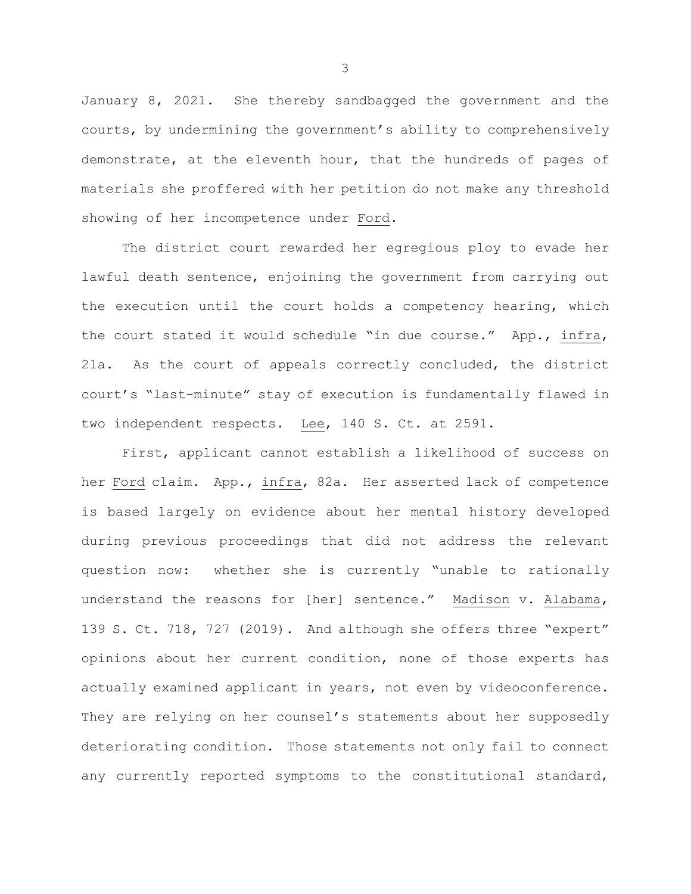January 8, 2021. She thereby sandbagged the government and the courts, by undermining the government's ability to comprehensively demonstrate, at the eleventh hour, that the hundreds of pages of materials she proffered with her petition do not make any threshold showing of her incompetence under Ford.

The district court rewarded her egregious ploy to evade her lawful death sentence, enjoining the government from carrying out the execution until the court holds a competency hearing, which the court stated it would schedule "in due course." App., infra, 21a. As the court of appeals correctly concluded, the district court's "last-minute" stay of execution is fundamentally flawed in two independent respects. Lee, 140 S. Ct. at 2591.

First, applicant cannot establish a likelihood of success on her Ford claim. App., infra, 82a. Her asserted lack of competence is based largely on evidence about her mental history developed during previous proceedings that did not address the relevant question now: whether she is currently "unable to rationally understand the reasons for [her] sentence." Madison v. Alabama, 139 S. Ct. 718, 727 (2019). And although she offers three "expert" opinions about her current condition, none of those experts has actually examined applicant in years, not even by videoconference. They are relying on her counsel's statements about her supposedly deteriorating condition. Those statements not only fail to connect any currently reported symptoms to the constitutional standard,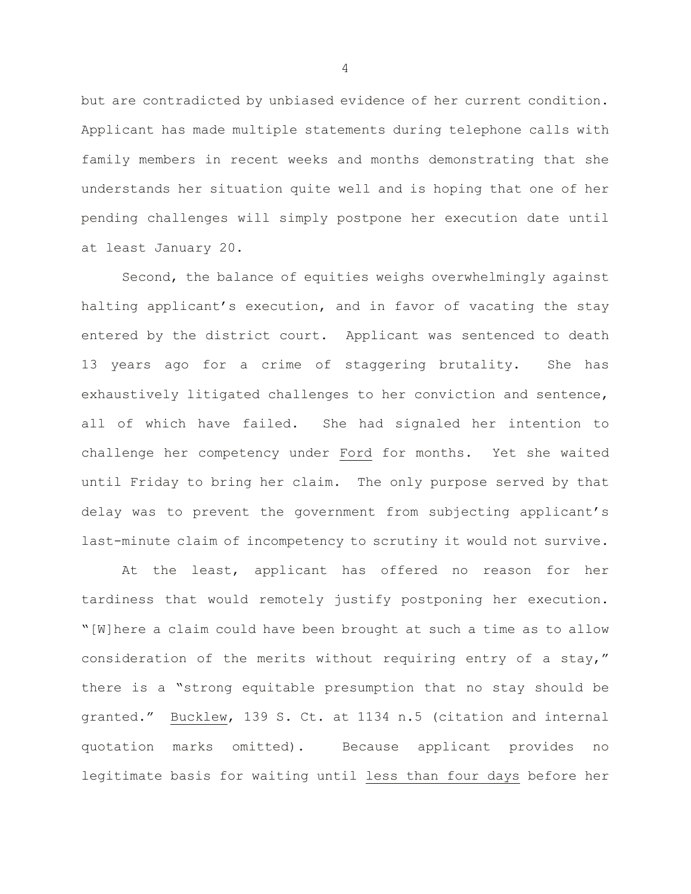but are contradicted by unbiased evidence of her current condition. Applicant has made multiple statements during telephone calls with family members in recent weeks and months demonstrating that she understands her situation quite well and is hoping that one of her pending challenges will simply postpone her execution date until at least January 20.

Second, the balance of equities weighs overwhelmingly against halting applicant's execution, and in favor of vacating the stay entered by the district court. Applicant was sentenced to death 13 years ago for a crime of staggering brutality. She has exhaustively litigated challenges to her conviction and sentence, all of which have failed. She had signaled her intention to challenge her competency under Ford for months. Yet she waited until Friday to bring her claim. The only purpose served by that delay was to prevent the government from subjecting applicant's last-minute claim of incompetency to scrutiny it would not survive.

At the least, applicant has offered no reason for her tardiness that would remotely justify postponing her execution. "[W]here a claim could have been brought at such a time as to allow consideration of the merits without requiring entry of a stay," there is a "strong equitable presumption that no stay should be granted." Bucklew, 139 S. Ct. at 1134 n.5 (citation and internal quotation marks omitted). Because applicant provides no legitimate basis for waiting until less than four days before her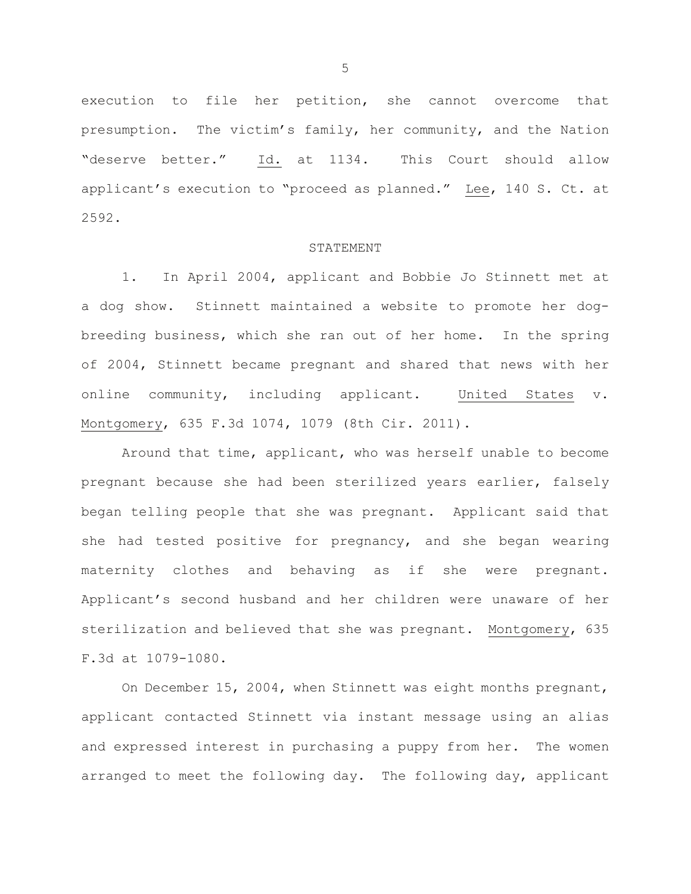execution to file her petition, she cannot overcome that presumption. The victim's family, her community, and the Nation "deserve better." Id. at 1134. This Court should allow applicant's execution to "proceed as planned." Lee, 140 S. Ct. at 2592.

#### STATEMENT

1. In April 2004, applicant and Bobbie Jo Stinnett met at a dog show. Stinnett maintained a website to promote her dogbreeding business, which she ran out of her home. In the spring of 2004, Stinnett became pregnant and shared that news with her online community, including applicant. United States v. Montgomery, 635 F.3d 1074, 1079 (8th Cir. 2011).

Around that time, applicant, who was herself unable to become pregnant because she had been sterilized years earlier, falsely began telling people that she was pregnant. Applicant said that she had tested positive for pregnancy, and she began wearing maternity clothes and behaving as if she were pregnant. Applicant's second husband and her children were unaware of her sterilization and believed that she was pregnant. Montgomery, 635 F.3d at 1079-1080.

On December 15, 2004, when Stinnett was eight months pregnant, applicant contacted Stinnett via instant message using an alias and expressed interest in purchasing a puppy from her. The women arranged to meet the following day. The following day, applicant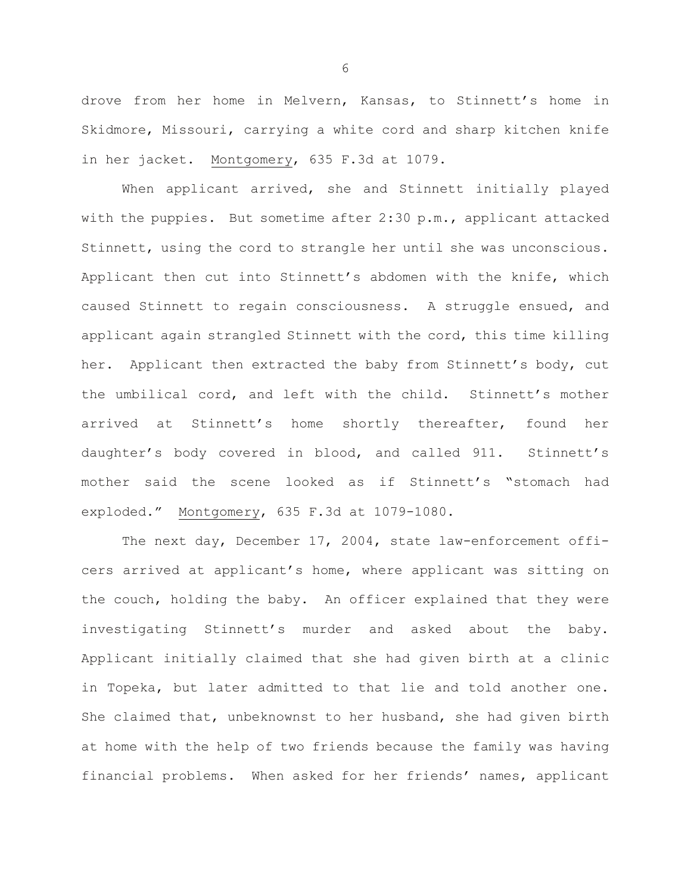drove from her home in Melvern, Kansas, to Stinnett's home in Skidmore, Missouri, carrying a white cord and sharp kitchen knife in her jacket. Montgomery, 635 F.3d at 1079.

When applicant arrived, she and Stinnett initially played with the puppies. But sometime after 2:30 p.m., applicant attacked Stinnett, using the cord to strangle her until she was unconscious. Applicant then cut into Stinnett's abdomen with the knife, which caused Stinnett to regain consciousness. A struggle ensued, and applicant again strangled Stinnett with the cord, this time killing her. Applicant then extracted the baby from Stinnett's body, cut the umbilical cord, and left with the child. Stinnett's mother arrived at Stinnett's home shortly thereafter, found her daughter's body covered in blood, and called 911. Stinnett's mother said the scene looked as if Stinnett's "stomach had exploded." Montgomery, 635 F.3d at 1079-1080.

The next day, December 17, 2004, state law-enforcement officers arrived at applicant's home, where applicant was sitting on the couch, holding the baby. An officer explained that they were investigating Stinnett's murder and asked about the baby. Applicant initially claimed that she had given birth at a clinic in Topeka, but later admitted to that lie and told another one. She claimed that, unbeknownst to her husband, she had given birth at home with the help of two friends because the family was having financial problems. When asked for her friends' names, applicant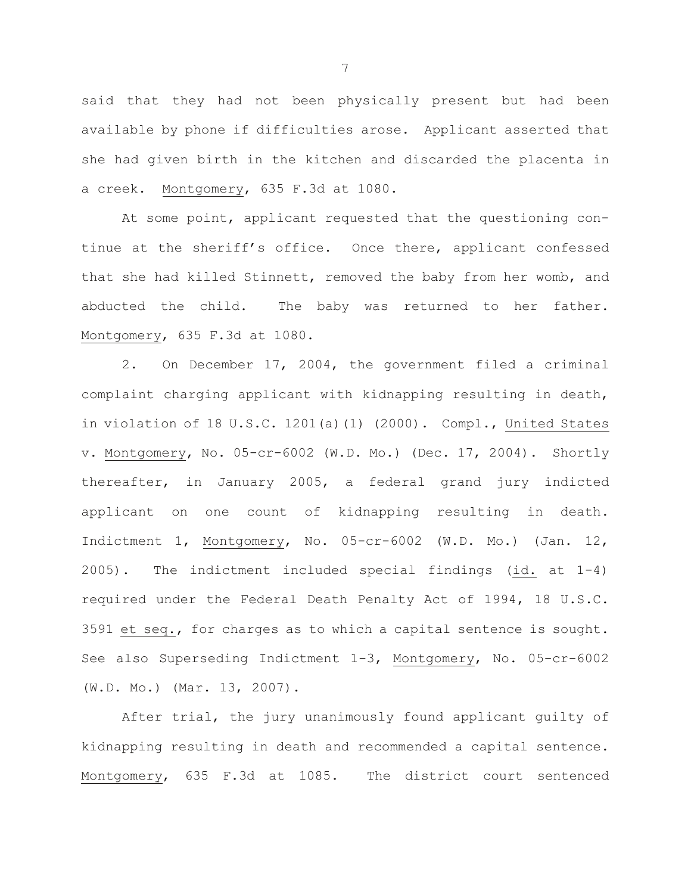said that they had not been physically present but had been available by phone if difficulties arose. Applicant asserted that she had given birth in the kitchen and discarded the placenta in a creek. Montgomery, 635 F.3d at 1080.

At some point, applicant requested that the questioning continue at the sheriff's office. Once there, applicant confessed that she had killed Stinnett, removed the baby from her womb, and abducted the child. The baby was returned to her father. Montgomery, 635 F.3d at 1080.

2. On December 17, 2004, the government filed a criminal complaint charging applicant with kidnapping resulting in death, in violation of 18 U.S.C. 1201(a)(1) (2000). Compl., United States v. Montgomery, No. 05-cr-6002 (W.D. Mo.) (Dec. 17, 2004). Shortly thereafter, in January 2005, a federal grand jury indicted applicant on one count of kidnapping resulting in death. Indictment 1, Montgomery, No. 05-cr-6002 (W.D. Mo.) (Jan. 12, 2005). The indictment included special findings (id. at 1-4) required under the Federal Death Penalty Act of 1994, 18 U.S.C. 3591 et seq., for charges as to which a capital sentence is sought. See also Superseding Indictment 1-3, Montgomery, No. 05-cr-6002 (W.D. Mo.) (Mar. 13, 2007).

After trial, the jury unanimously found applicant guilty of kidnapping resulting in death and recommended a capital sentence. Montgomery, 635 F.3d at 1085. The district court sentenced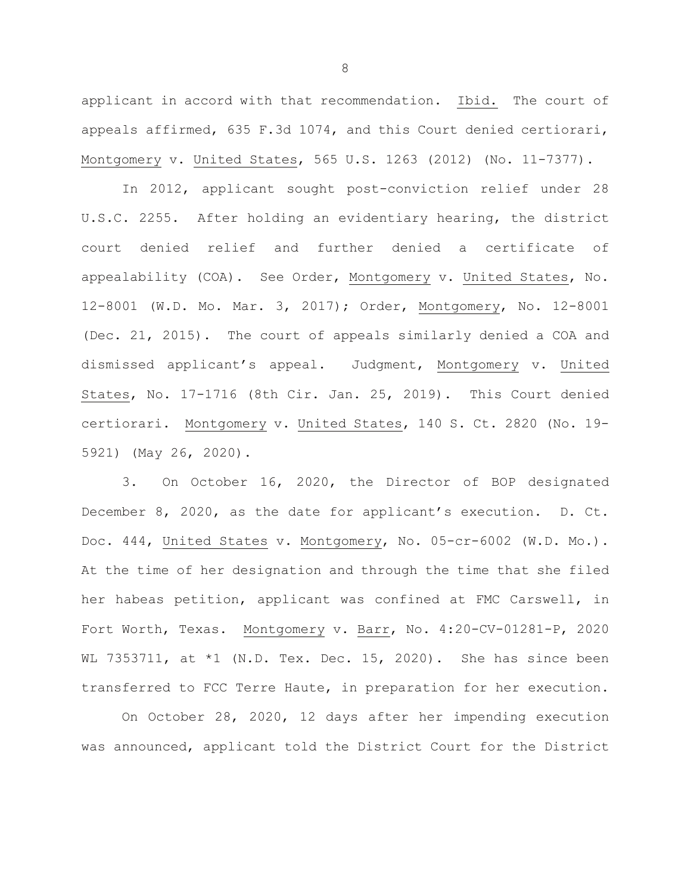applicant in accord with that recommendation. Ibid. The court of appeals affirmed, 635 F.3d 1074, and this Court denied certiorari, Montgomery v. United States, 565 U.S. 1263 (2012) (No. 11-7377).

In 2012, applicant sought post-conviction relief under 28 U.S.C. 2255. After holding an evidentiary hearing, the district court denied relief and further denied a certificate of appealability (COA). See Order, Montgomery v. United States, No. 12-8001 (W.D. Mo. Mar. 3, 2017); Order, Montgomery, No. 12-8001 (Dec. 21, 2015). The court of appeals similarly denied a COA and dismissed applicant's appeal. Judgment, Montgomery v. United States, No. 17-1716 (8th Cir. Jan. 25, 2019). This Court denied certiorari. Montgomery v. United States, 140 S. Ct. 2820 (No. 19- 5921) (May 26, 2020).

3. On October 16, 2020, the Director of BOP designated December 8, 2020, as the date for applicant's execution. D. Ct. Doc. 444, United States v. Montgomery, No. 05-cr-6002 (W.D. Mo.). At the time of her designation and through the time that she filed her habeas petition, applicant was confined at FMC Carswell, in Fort Worth, Texas. Montgomery v. Barr, No. 4:20-CV-01281-P, 2020 WL 7353711, at  $*1$  (N.D. Tex. Dec. 15, 2020). She has since been transferred to FCC Terre Haute, in preparation for her execution.

On October 28, 2020, 12 days after her impending execution was announced, applicant told the District Court for the District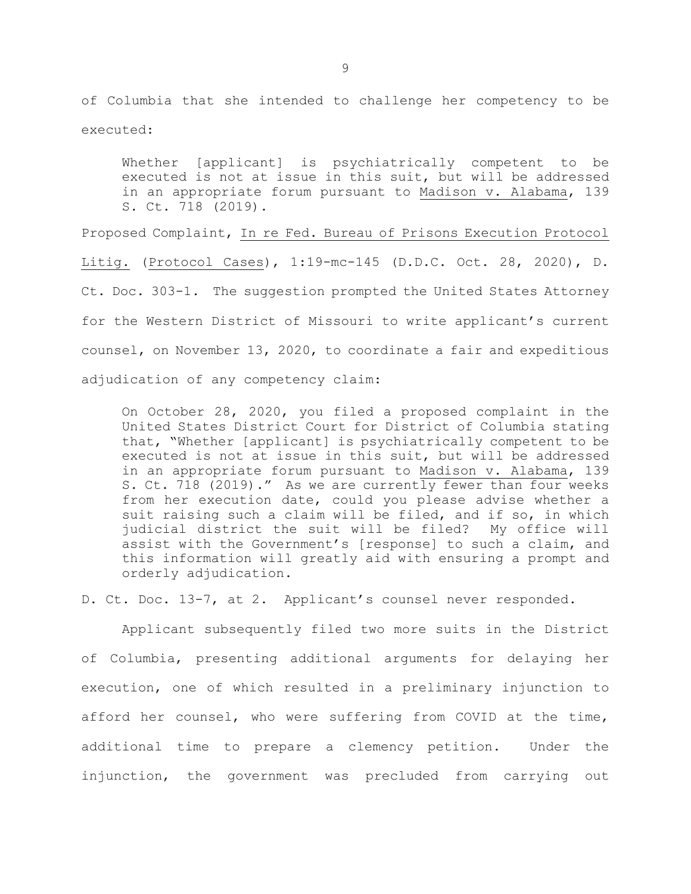of Columbia that she intended to challenge her competency to be executed:

Whether [applicant] is psychiatrically competent to be executed is not at issue in this suit, but will be addressed in an appropriate forum pursuant to Madison v. Alabama, 139 S. Ct. 718 (2019).

Proposed Complaint, In re Fed. Bureau of Prisons Execution Protocol Litig. (Protocol Cases), 1:19-mc-145 (D.D.C. Oct. 28, 2020), D. Ct. Doc. 303-1. The suggestion prompted the United States Attorney for the Western District of Missouri to write applicant's current counsel, on November 13, 2020, to coordinate a fair and expeditious adjudication of any competency claim:

On October 28, 2020, you filed a proposed complaint in the United States District Court for District of Columbia stating that, "Whether [applicant] is psychiatrically competent to be executed is not at issue in this suit, but will be addressed in an appropriate forum pursuant to Madison v. Alabama, 139 S. Ct. 718 (2019)." As we are currently fewer than four weeks from her execution date, could you please advise whether a suit raising such a claim will be filed, and if so, in which judicial district the suit will be filed? My office will assist with the Government's [response] to such a claim, and this information will greatly aid with ensuring a prompt and orderly adjudication.

D. Ct. Doc. 13-7, at 2. Applicant's counsel never responded.

Applicant subsequently filed two more suits in the District of Columbia, presenting additional arguments for delaying her execution, one of which resulted in a preliminary injunction to afford her counsel, who were suffering from COVID at the time, additional time to prepare a clemency petition. Under the injunction, the government was precluded from carrying out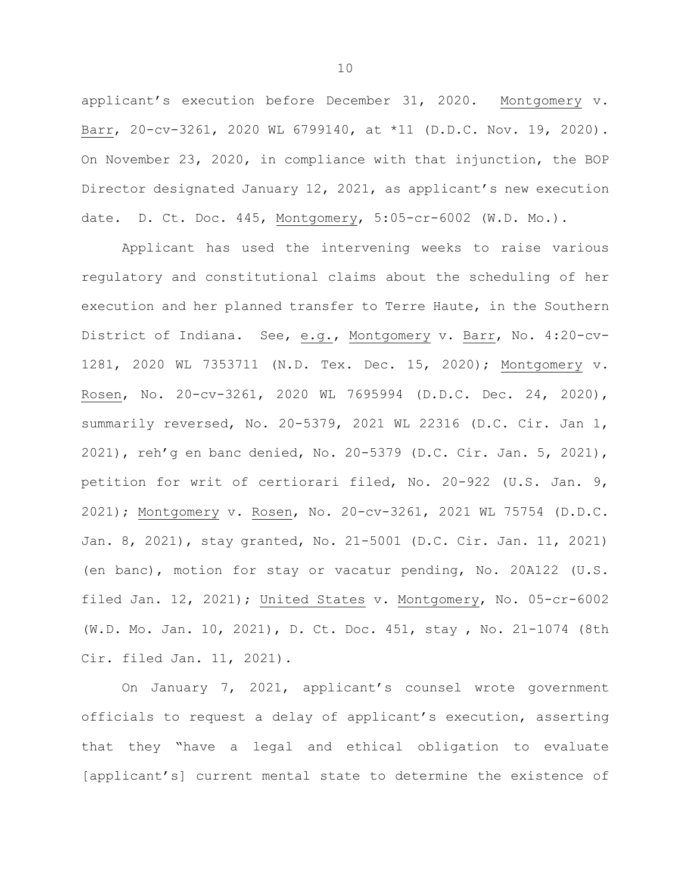applicant's execution before December 31, 2020. Montgomery v. Barr, 20-cv-3261, 2020 WL 6799140, at \*11 (D.D.C. Nov. 19, 2020). On November 23, 2020, in compliance with that injunction, the BOP Director designated January 12, 2021, as applicant's new execution date. D. Ct. Doc. 445, Montgomery, 5:05-cr-6002 (W.D. Mo.).

Applicant has used the intervening weeks to raise various regulatory and constitutional claims about the scheduling of her execution and her planned transfer to Terre Haute, in the Southern District of Indiana. See, e.g., Montgomery v. Barr, No. 4:20-cv-1281, 2020 WL 7353711 (N.D. Tex. Dec. 15, 2020); Montgomery v. Rosen, No. 20-cv-3261, 2020 WL 7695994 (D.D.C. Dec. 24, 2020), summarily reversed, No. 20-5379, 2021 WL 22316 (D.C. Cir. Jan 1, 2021), reh'g en banc denied, No. 20-5379 (D.C. Cir. Jan. 5, 2021), petition for writ of certiorari filed, No. 20-922 (U.S. Jan. 9, 2021); Montgomery v. Rosen, No. 20-cv-3261, 2021 WL 75754 (D.D.C. Jan. 8, 2021), stay granted, No. 21-5001 (D.C. Cir. Jan. 11, 2021) (en banc), motion for stay or vacatur pending, No. 20A122 (U.S. filed Jan. 12, 2021); United States v. Montgomery, No. 05-cr-6002 (W.D. Mo. Jan. 10, 2021), D. Ct. Doc. 451, stay , No. 21-1074 (8th Cir. filed Jan. 11, 2021).

On January 7, 2021, applicant's counsel wrote government officials to request a delay of applicant's execution, asserting that they "have a legal and ethical obligation to evaluate [applicant's] current mental state to determine the existence of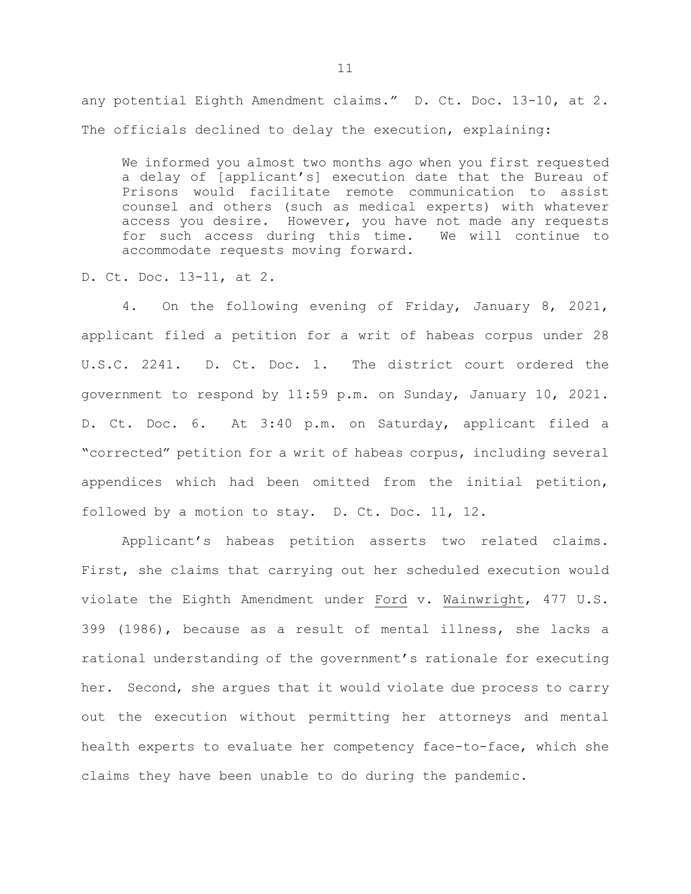any potential Eighth Amendment claims." D. Ct. Doc. 13-10, at 2. The officials declined to delay the execution, explaining:

We informed you almost two months ago when you first requested a delay of [applicant's] execution date that the Bureau of Prisons would facilitate remote communication to assist counsel and others (such as medical experts) with whatever access you desire. However, you have not made any requests<br>for such access during this time. We will continue to for such access during this time. accommodate requests moving forward.

D. Ct. Doc. 13-11, at 2.

4. On the following evening of Friday, January 8, 2021, applicant filed a petition for a writ of habeas corpus under 28 U.S.C. 2241. D. Ct. Doc. 1. The district court ordered the government to respond by 11:59 p.m. on Sunday, January 10, 2021. D. Ct. Doc. 6. At 3:40 p.m. on Saturday, applicant filed a "corrected" petition for a writ of habeas corpus, including several appendices which had been omitted from the initial petition, followed by a motion to stay. D. Ct. Doc. 11, 12.

Applicant's habeas petition asserts two related claims. First, she claims that carrying out her scheduled execution would violate the Eighth Amendment under Ford v. Wainwright, 477 U.S. 399 (1986), because as a result of mental illness, she lacks a rational understanding of the government's rationale for executing her. Second, she argues that it would violate due process to carry out the execution without permitting her attorneys and mental health experts to evaluate her competency face-to-face, which she claims they have been unable to do during the pandemic.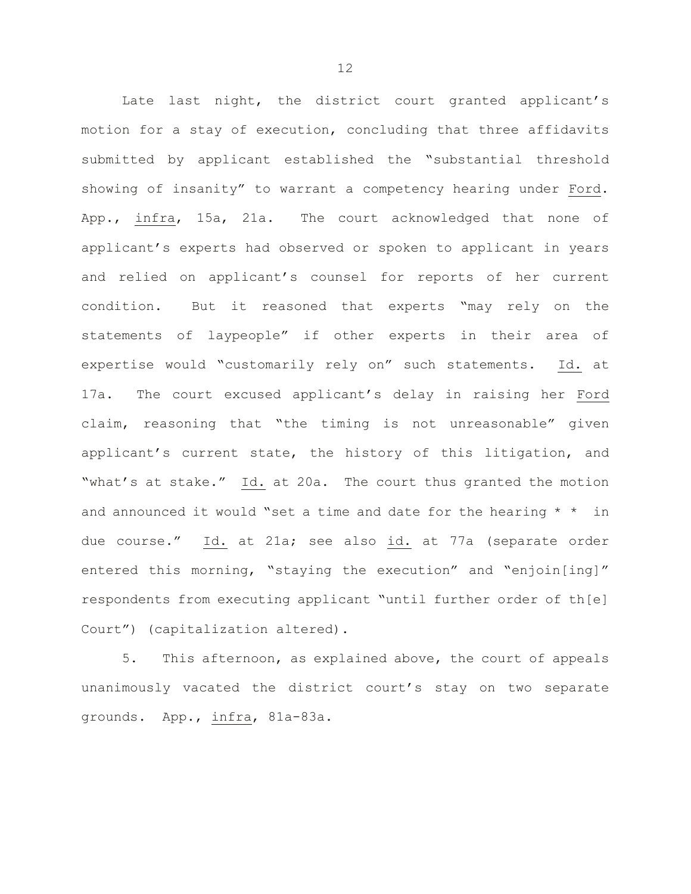Late last night, the district court granted applicant's motion for a stay of execution, concluding that three affidavits submitted by applicant established the "substantial threshold showing of insanity" to warrant a competency hearing under Ford. App., infra, 15a, 21a. The court acknowledged that none of applicant's experts had observed or spoken to applicant in years and relied on applicant's counsel for reports of her current condition. But it reasoned that experts "may rely on the statements of laypeople" if other experts in their area of expertise would "customarily rely on" such statements. Id. at 17a. The court excused applicant's delay in raising her Ford claim, reasoning that "the timing is not unreasonable" given applicant's current state, the history of this litigation, and "what's at stake." Id. at 20a. The court thus granted the motion and announced it would "set a time and date for the hearing  $*$   $*$  in due course." Id. at 21a; see also id. at 77a (separate order entered this morning, "staying the execution" and "enjoin[ing]" respondents from executing applicant "until further order of th[e] Court") (capitalization altered).

5. This afternoon, as explained above, the court of appeals unanimously vacated the district court's stay on two separate grounds. App., infra, 81a-83a.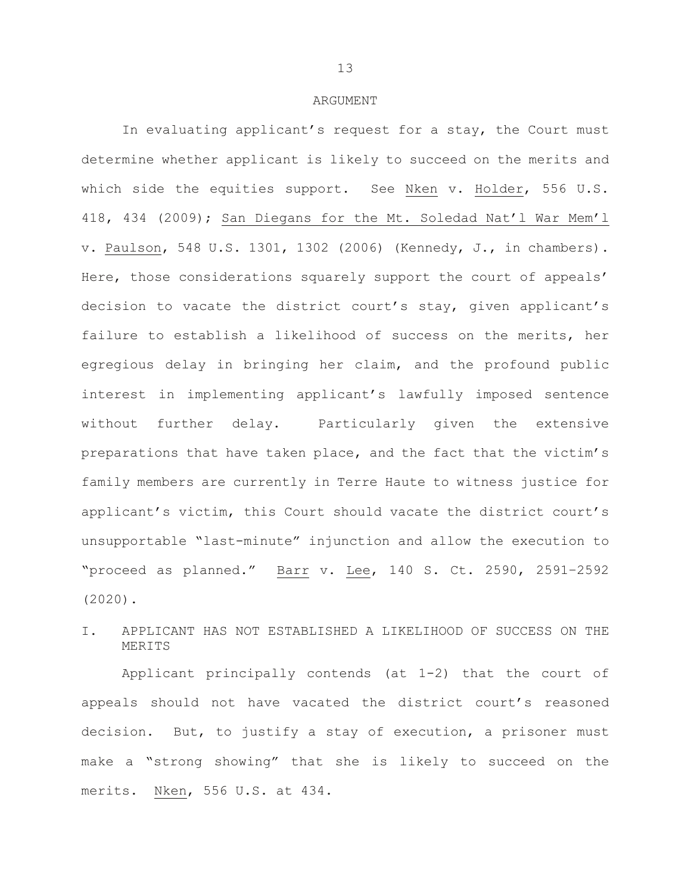#### ARGUMENT

In evaluating applicant's request for a stay, the Court must determine whether applicant is likely to succeed on the merits and which side the equities support. See Nken v. Holder, 556 U.S. 418, 434 (2009); San Diegans for the Mt. Soledad Nat'l War Mem'l v. Paulson, 548 U.S. 1301, 1302 (2006) (Kennedy, J., in chambers). Here, those considerations squarely support the court of appeals' decision to vacate the district court's stay, given applicant's failure to establish a likelihood of success on the merits, her egregious delay in bringing her claim, and the profound public interest in implementing applicant's lawfully imposed sentence without further delay. Particularly given the extensive preparations that have taken place, and the fact that the victim's family members are currently in Terre Haute to witness justice for applicant's victim, this Court should vacate the district court's unsupportable "last-minute" injunction and allow the execution to "proceed as planned." Barr v. Lee, 140 S. Ct. 2590, 2591–2592 (2020).

# I. APPLICANT HAS NOT ESTABLISHED A LIKELIHOOD OF SUCCESS ON THE MERITS

Applicant principally contends (at 1-2) that the court of appeals should not have vacated the district court's reasoned decision. But, to justify a stay of execution, a prisoner must make a "strong showing" that she is likely to succeed on the merits. Nken, 556 U.S. at 434.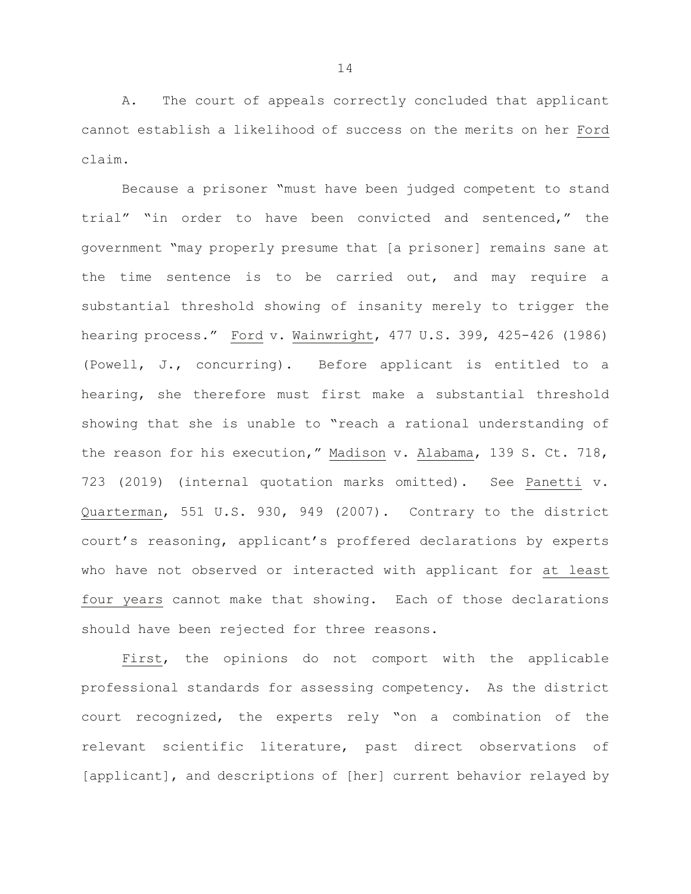A. The court of appeals correctly concluded that applicant cannot establish a likelihood of success on the merits on her Ford claim.

Because a prisoner "must have been judged competent to stand trial" "in order to have been convicted and sentenced," the government "may properly presume that [a prisoner] remains sane at the time sentence is to be carried out, and may require a substantial threshold showing of insanity merely to trigger the hearing process." Ford v. Wainwright, 477 U.S. 399, 425-426 (1986) (Powell, J., concurring). Before applicant is entitled to a hearing, she therefore must first make a substantial threshold showing that she is unable to "reach a rational understanding of the reason for his execution," Madison v. Alabama, 139 S. Ct. 718, 723 (2019) (internal quotation marks omitted). See Panetti v. Quarterman, 551 U.S. 930, 949 (2007). Contrary to the district court's reasoning, applicant's proffered declarations by experts who have not observed or interacted with applicant for at least four years cannot make that showing. Each of those declarations should have been rejected for three reasons.

First, the opinions do not comport with the applicable professional standards for assessing competency. As the district court recognized, the experts rely "on a combination of the relevant scientific literature, past direct observations of [applicant], and descriptions of [her] current behavior relayed by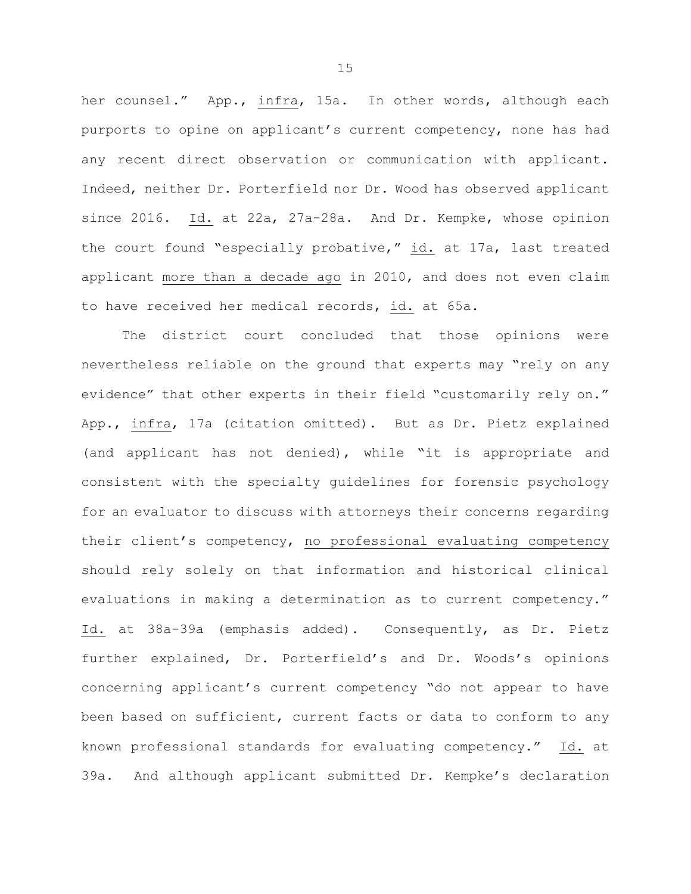her counsel." App., infra, 15a. In other words, although each purports to opine on applicant's current competency, none has had any recent direct observation or communication with applicant. Indeed, neither Dr. Porterfield nor Dr. Wood has observed applicant since 2016. Id. at 22a, 27a-28a. And Dr. Kempke, whose opinion the court found "especially probative," id. at 17a, last treated applicant more than a decade ago in 2010, and does not even claim to have received her medical records, id. at 65a.

The district court concluded that those opinions were nevertheless reliable on the ground that experts may "rely on any evidence" that other experts in their field "customarily rely on." App., infra, 17a (citation omitted). But as Dr. Pietz explained (and applicant has not denied), while "it is appropriate and consistent with the specialty guidelines for forensic psychology for an evaluator to discuss with attorneys their concerns regarding their client's competency, no professional evaluating competency should rely solely on that information and historical clinical evaluations in making a determination as to current competency." Id. at 38a-39a (emphasis added). Consequently, as Dr. Pietz further explained, Dr. Porterfield's and Dr. Woods's opinions concerning applicant's current competency "do not appear to have been based on sufficient, current facts or data to conform to any known professional standards for evaluating competency." Id. at 39a. And although applicant submitted Dr. Kempke's declaration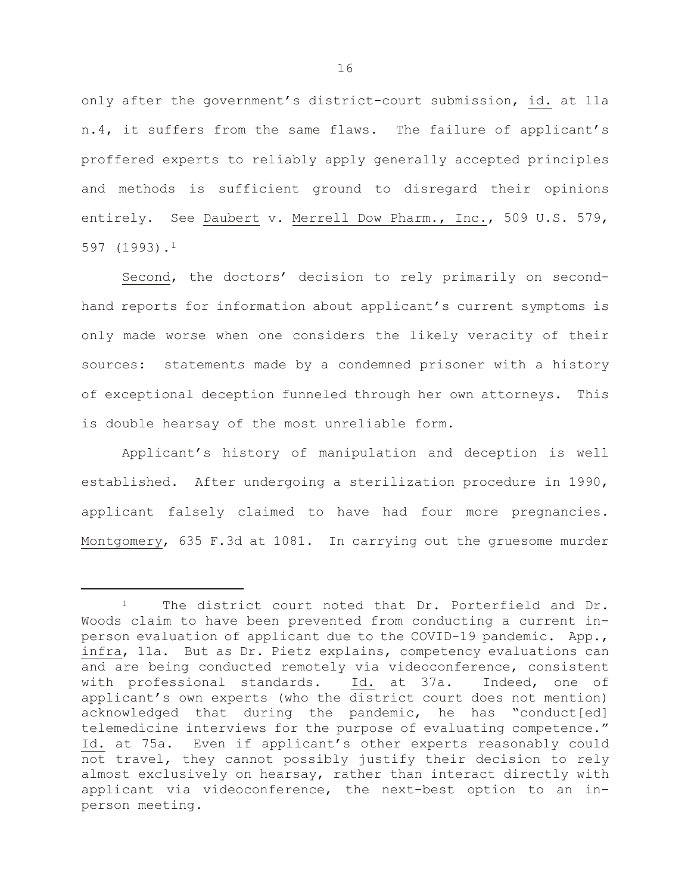only after the government's district-court submission, id. at 11a n.4, it suffers from the same flaws. The failure of applicant's proffered experts to reliably apply generally accepted principles and methods is sufficient ground to disregard their opinions entirely. See Daubert v. Merrell Dow Pharm., Inc., 509 U.S. 579, 597 (1993).[1](#page-18-0) 

Second, the doctors' decision to rely primarily on secondhand reports for information about applicant's current symptoms is only made worse when one considers the likely veracity of their sources: statements made by a condemned prisoner with a history of exceptional deception funneled through her own attorneys. This is double hearsay of the most unreliable form.

Applicant's history of manipulation and deception is well established. After undergoing a sterilization procedure in 1990, applicant falsely claimed to have had four more pregnancies. Montgomery, 635 F.3d at 1081. In carrying out the gruesome murder

Ĩ.

<span id="page-18-0"></span><sup>&</sup>lt;sup>1</sup> The district court noted that Dr. Porterfield and Dr. Woods claim to have been prevented from conducting a current inperson evaluation of applicant due to the COVID-19 pandemic. App., infra, 11a. But as Dr. Pietz explains, competency evaluations can and are being conducted remotely via videoconference, consistent with professional standards. Id. at 37a. Indeed, one of applicant's own experts (who the district court does not mention) acknowledged that during the pandemic, he has "conduct[ed] telemedicine interviews for the purpose of evaluating competence." Id. at 75a. Even if applicant's other experts reasonably could not travel, they cannot possibly justify their decision to rely almost exclusively on hearsay, rather than interact directly with applicant via videoconference, the next-best option to an inperson meeting.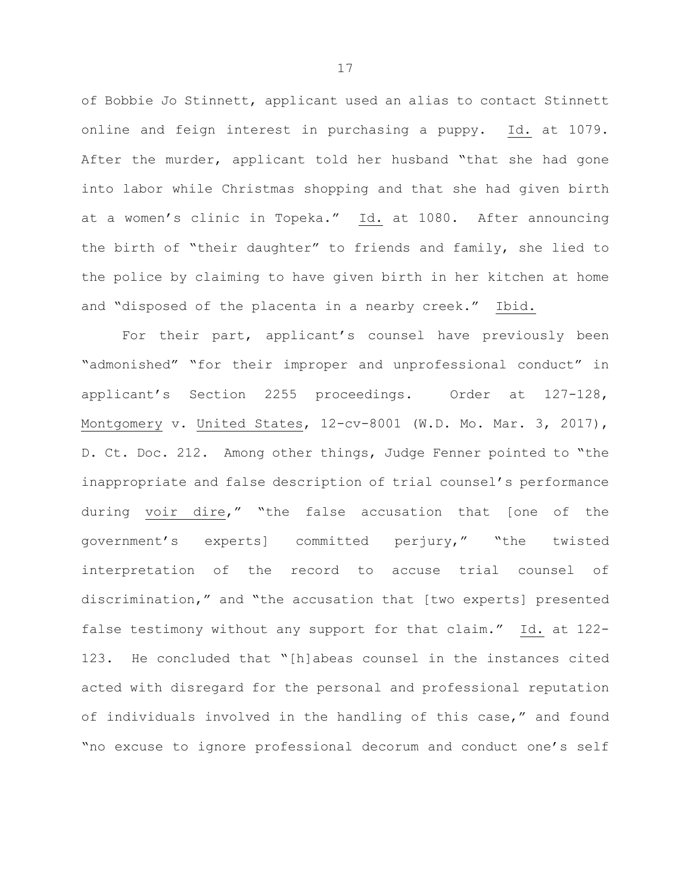of Bobbie Jo Stinnett, applicant used an alias to contact Stinnett online and feign interest in purchasing a puppy. Id. at 1079. After the murder, applicant told her husband "that she had gone into labor while Christmas shopping and that she had given birth at a women's clinic in Topeka." Id. at 1080. After announcing the birth of "their daughter" to friends and family, she lied to the police by claiming to have given birth in her kitchen at home and "disposed of the placenta in a nearby creek." Ibid.

For their part, applicant's counsel have previously been "admonished" "for their improper and unprofessional conduct" in applicant's Section 2255 proceedings. Order at 127-128, Montgomery v. United States, 12-cv-8001 (W.D. Mo. Mar. 3, 2017), D. Ct. Doc. 212. Among other things, Judge Fenner pointed to "the inappropriate and false description of trial counsel's performance during voir dire," "the false accusation that [one of the government's experts] committed perjury," "the twisted interpretation of the record to accuse trial counsel of discrimination," and "the accusation that [two experts] presented false testimony without any support for that claim." Id. at 122- 123. He concluded that "[h]abeas counsel in the instances cited acted with disregard for the personal and professional reputation of individuals involved in the handling of this case," and found "no excuse to ignore professional decorum and conduct one's self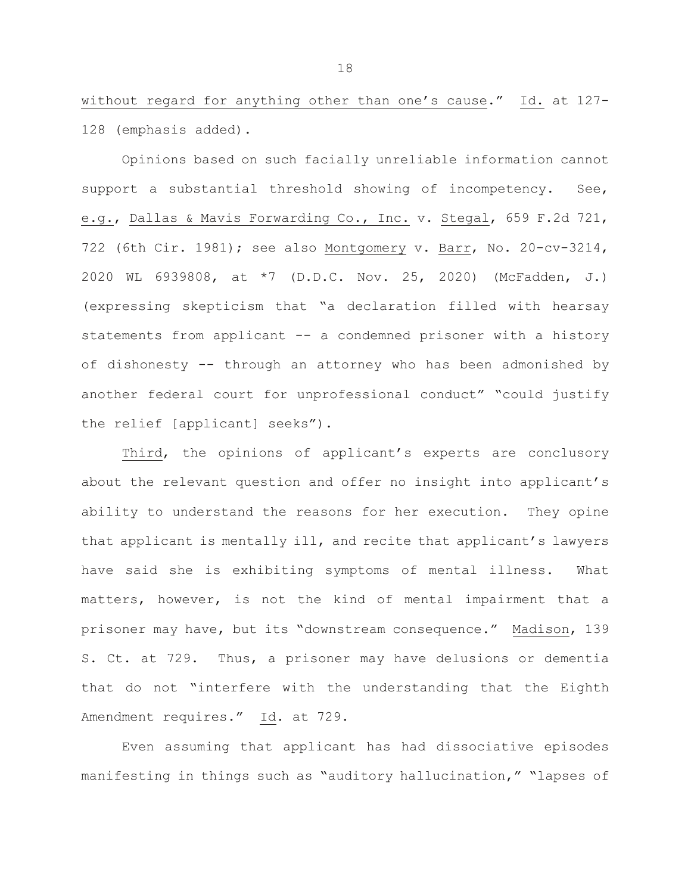without regard for anything other than one's cause." Id. at 127- 128 (emphasis added).

Opinions based on such facially unreliable information cannot support a substantial threshold showing of incompetency. See, e.g., Dallas & Mavis Forwarding Co., Inc. v. Stegal, 659 F.2d 721, 722 (6th Cir. 1981); see also Montgomery v. Barr, No. 20-cv-3214, 2020 WL 6939808, at \*7 (D.D.C. Nov. 25, 2020) (McFadden, J.) (expressing skepticism that "a declaration filled with hearsay statements from applicant -- a condemned prisoner with a history of dishonesty -- through an attorney who has been admonished by another federal court for unprofessional conduct" "could justify the relief [applicant] seeks").

Third, the opinions of applicant's experts are conclusory about the relevant question and offer no insight into applicant's ability to understand the reasons for her execution. They opine that applicant is mentally ill, and recite that applicant's lawyers have said she is exhibiting symptoms of mental illness. What matters, however, is not the kind of mental impairment that a prisoner may have, but its "downstream consequence." Madison, 139 S. Ct. at 729. Thus, a prisoner may have delusions or dementia that do not "interfere with the understanding that the Eighth Amendment requires." Id. at 729.

Even assuming that applicant has had dissociative episodes manifesting in things such as "auditory hallucination," "lapses of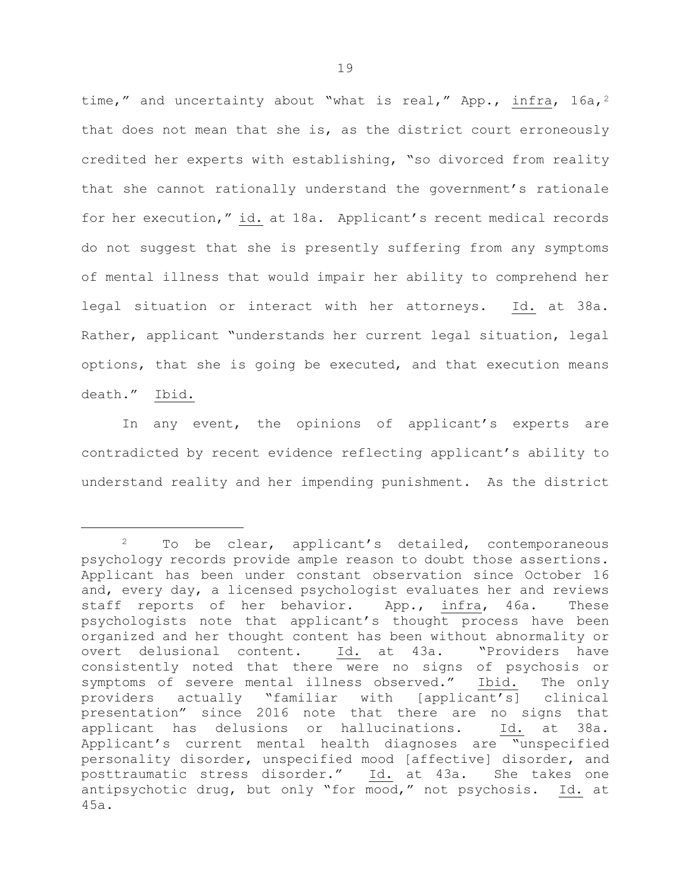time," and uncertainty about "what is real," App., infra,  $16a$ ,  $2a$  $2a$ that does not mean that she is, as the district court erroneously credited her experts with establishing, "so divorced from reality that she cannot rationally understand the government's rationale for her execution," id. at 18a. Applicant's recent medical records do not suggest that she is presently suffering from any symptoms of mental illness that would impair her ability to comprehend her legal situation or interact with her attorneys. Id. at 38a. Rather, applicant "understands her current legal situation, legal options, that she is going be executed, and that execution means death." Ibid.

In any event, the opinions of applicant's experts are contradicted by recent evidence reflecting applicant's ability to understand reality and her impending punishment. As the district

<span id="page-21-0"></span>Ĩ. <sup>2</sup> To be clear, applicant's detailed, contemporaneous psychology records provide ample reason to doubt those assertions. Applicant has been under constant observation since October 16 and, every day, a licensed psychologist evaluates her and reviews staff reports of her behavior. App., infra, 46a. These psychologists note that applicant's thought process have been organized and her thought content has been without abnormality or<br>overt delusional content. Id. at 43a. "Providers have overt delusional content. consistently noted that there were no signs of psychosis or symptoms of severe mental illness observed." Ibid. The only providers actually "familiar with [applicant's] clinical presentation" since 2016 note that there are no signs that<br>applicant has delusions or hallucinations. Id. at 38a. applicant has delusions or hallucinations. Applicant's current mental health diagnoses are "unspecified personality disorder, unspecified mood [affective] disorder, and<br>posttraumatic stress disorder." Id. at 43a. She takes one posttraumatic stress disorder." Id. at 43a. antipsychotic drug, but only "for mood," not psychosis. Id. at 45a.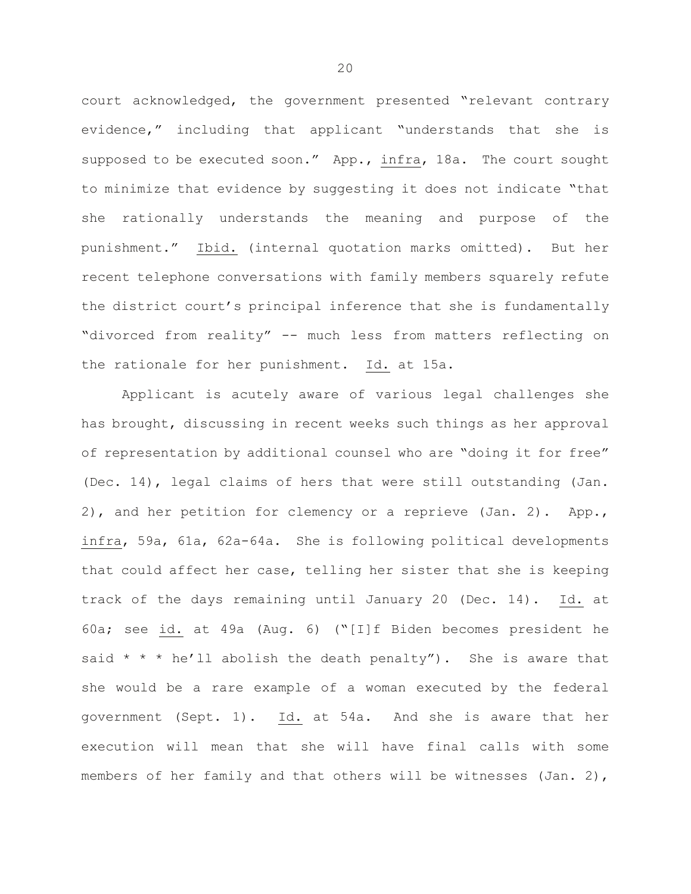court acknowledged, the government presented "relevant contrary evidence," including that applicant "understands that she is supposed to be executed soon." App., infra, 18a. The court sought to minimize that evidence by suggesting it does not indicate "that she rationally understands the meaning and purpose of the punishment." Ibid. (internal quotation marks omitted). But her recent telephone conversations with family members squarely refute the district court's principal inference that she is fundamentally "divorced from reality" -- much less from matters reflecting on the rationale for her punishment. Id. at 15a.

Applicant is acutely aware of various legal challenges she has brought, discussing in recent weeks such things as her approval of representation by additional counsel who are "doing it for free" (Dec. 14), legal claims of hers that were still outstanding (Jan. 2), and her petition for clemency or a reprieve (Jan. 2). App., infra, 59a, 61a, 62a-64a. She is following political developments that could affect her case, telling her sister that she is keeping track of the days remaining until January 20 (Dec. 14). Id. at 60a; see id. at 49a (Aug. 6) ("[I]f Biden becomes president he said  $* * * he'$ ll abolish the death penalty"). She is aware that she would be a rare example of a woman executed by the federal government (Sept. 1). Id. at 54a. And she is aware that her execution will mean that she will have final calls with some members of her family and that others will be witnesses (Jan. 2),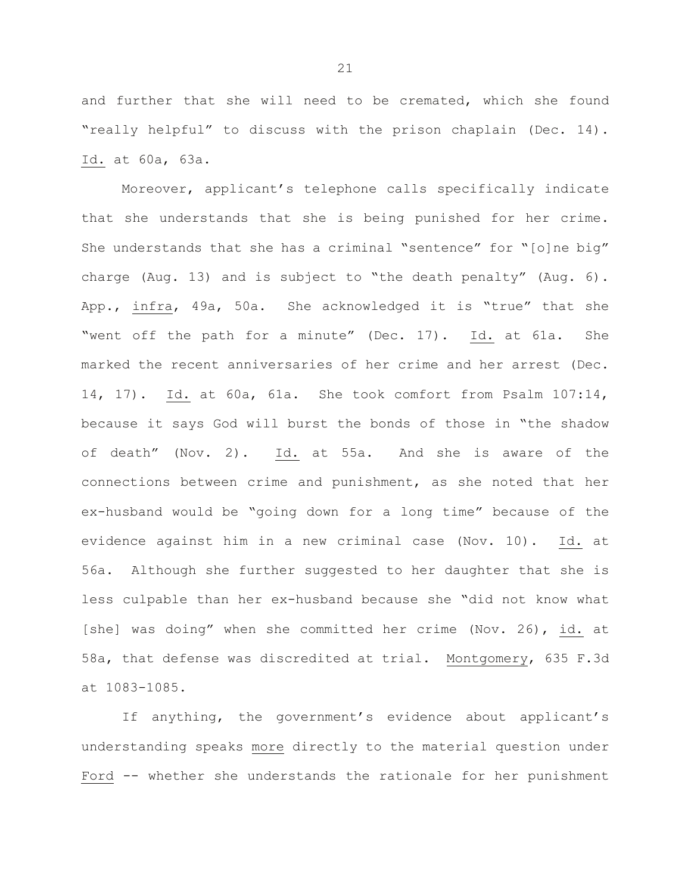and further that she will need to be cremated, which she found "really helpful" to discuss with the prison chaplain (Dec. 14). Id. at 60a, 63a.

Moreover, applicant's telephone calls specifically indicate that she understands that she is being punished for her crime. She understands that she has a criminal "sentence" for "[o]ne big" charge (Aug. 13) and is subject to "the death penalty" (Aug. 6). App., infra, 49a, 50a. She acknowledged it is "true" that she "went off the path for a minute" (Dec. 17). Id. at 61a. She marked the recent anniversaries of her crime and her arrest (Dec. 14, 17). Id. at 60a, 61a. She took comfort from Psalm 107:14, because it says God will burst the bonds of those in "the shadow of death" (Nov. 2). Id. at 55a. And she is aware of the connections between crime and punishment, as she noted that her ex-husband would be "going down for a long time" because of the evidence against him in a new criminal case (Nov. 10). Id. at 56a. Although she further suggested to her daughter that she is less culpable than her ex-husband because she "did not know what [she] was doing" when she committed her crime (Nov. 26), id. at 58a, that defense was discredited at trial. Montgomery, 635 F.3d at 1083-1085.

If anything, the government's evidence about applicant's understanding speaks more directly to the material question under Ford -- whether she understands the rationale for her punishment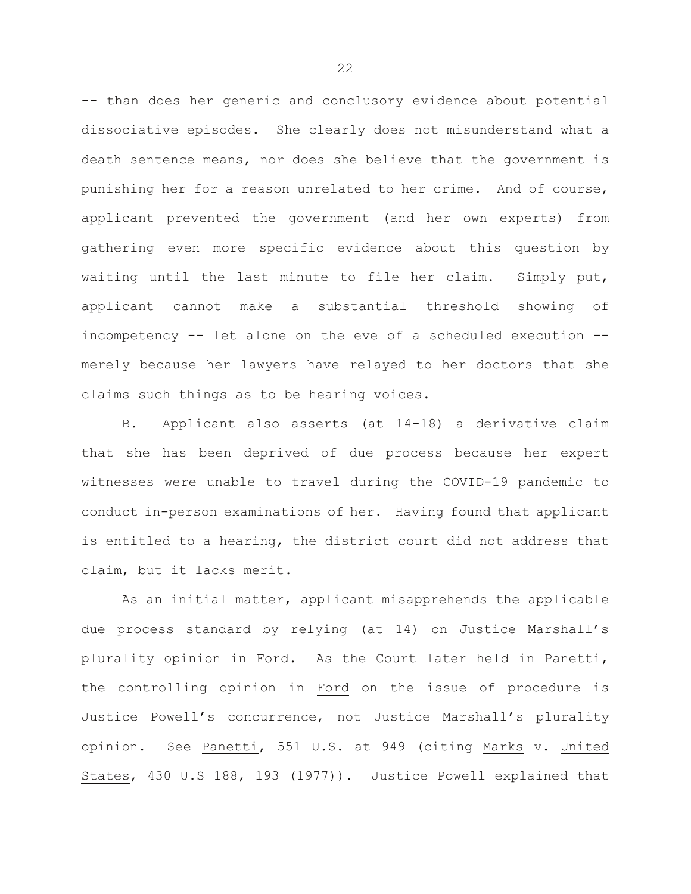-- than does her generic and conclusory evidence about potential dissociative episodes. She clearly does not misunderstand what a death sentence means, nor does she believe that the government is punishing her for a reason unrelated to her crime. And of course, applicant prevented the government (and her own experts) from gathering even more specific evidence about this question by waiting until the last minute to file her claim. Simply put, applicant cannot make a substantial threshold showing of incompetency -- let alone on the eve of a scheduled execution - merely because her lawyers have relayed to her doctors that she claims such things as to be hearing voices.

B. Applicant also asserts (at 14-18) a derivative claim that she has been deprived of due process because her expert witnesses were unable to travel during the COVID-19 pandemic to conduct in-person examinations of her. Having found that applicant is entitled to a hearing, the district court did not address that claim, but it lacks merit.

As an initial matter, applicant misapprehends the applicable due process standard by relying (at 14) on Justice Marshall's plurality opinion in Ford. As the Court later held in Panetti, the controlling opinion in Ford on the issue of procedure is Justice Powell's concurrence, not Justice Marshall's plurality opinion. See Panetti, 551 U.S. at 949 (citing Marks v. United States, 430 U.S 188, 193 (1977)). Justice Powell explained that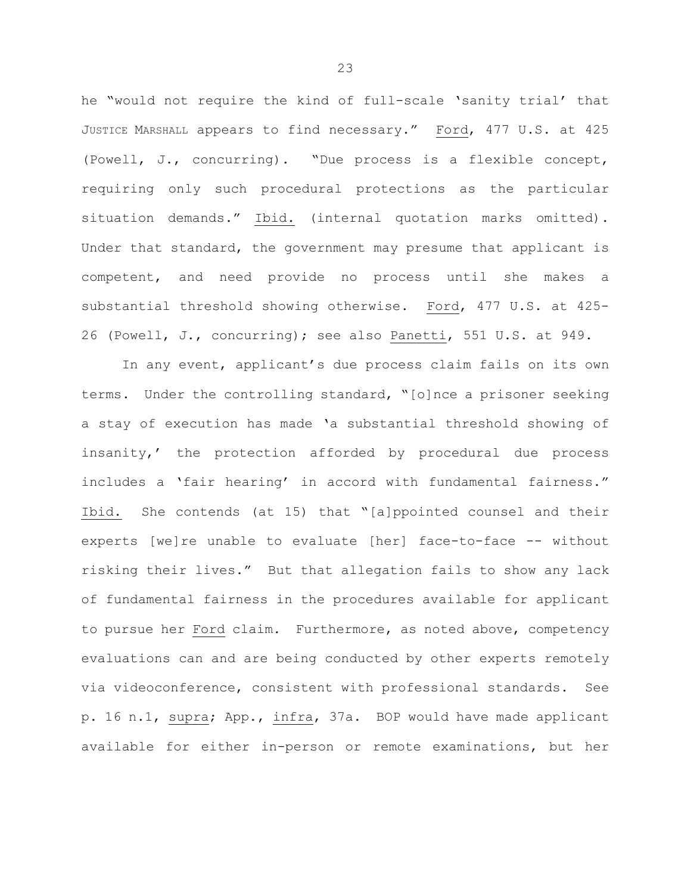he "would not require the kind of full-scale 'sanity trial' that JUSTICE MARSHALL appears to find necessary." Ford, 477 U.S. at 425 (Powell, J., concurring). "Due process is a flexible concept, requiring only such procedural protections as the particular situation demands." Ibid. (internal quotation marks omitted). Under that standard, the government may presume that applicant is competent, and need provide no process until she makes a substantial threshold showing otherwise. Ford, 477 U.S. at 425- 26 (Powell, J., concurring); see also Panetti, 551 U.S. at 949.

In any event, applicant's due process claim fails on its own terms. Under the controlling standard, "[o]nce a prisoner seeking a stay of execution has made 'a substantial threshold showing of insanity,' the protection afforded by procedural due process includes a 'fair hearing' in accord with fundamental fairness." Ibid. She contends (at 15) that "[a]ppointed counsel and their experts [we]re unable to evaluate [her] face-to-face -- without risking their lives." But that allegation fails to show any lack of fundamental fairness in the procedures available for applicant to pursue her Ford claim. Furthermore, as noted above, competency evaluations can and are being conducted by other experts remotely via videoconference, consistent with professional standards. See p. 16 n.1, supra; App., infra, 37a. BOP would have made applicant available for either in-person or remote examinations, but her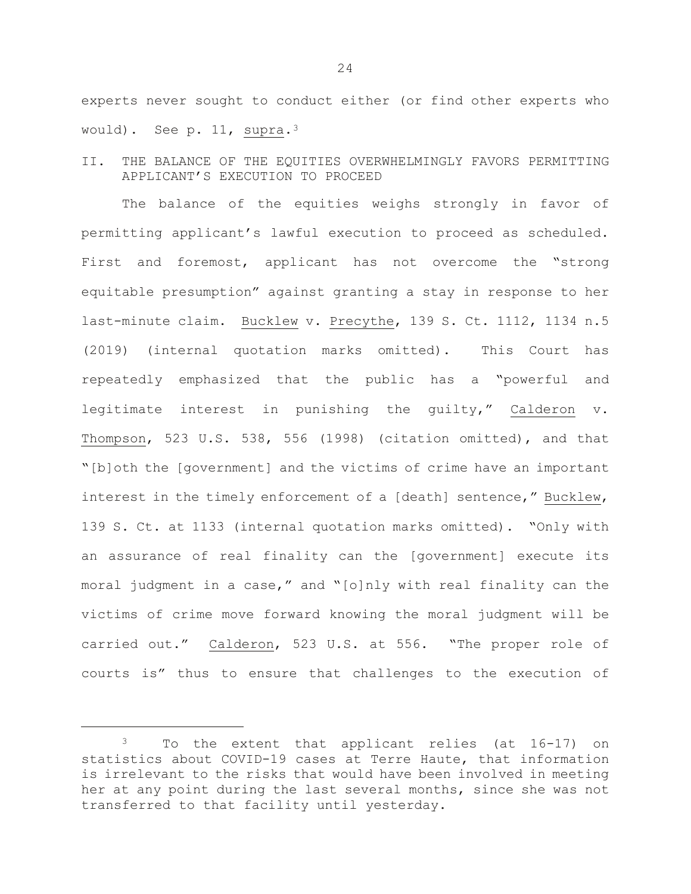experts never sought to conduct either (or find other experts who would). See p. 11, supra.[3](#page-26-0) 

II. THE BALANCE OF THE EQUITIES OVERWHELMINGLY FAVORS PERMITTING APPLICANT'S EXECUTION TO PROCEED

The balance of the equities weighs strongly in favor of permitting applicant's lawful execution to proceed as scheduled. First and foremost, applicant has not overcome the "strong equitable presumption" against granting a stay in response to her last-minute claim. Bucklew v. Precythe, 139 S. Ct. 1112, 1134 n.5 (2019) (internal quotation marks omitted). This Court has repeatedly emphasized that the public has a "powerful and legitimate interest in punishing the guilty," Calderon v. Thompson, 523 U.S. 538, 556 (1998) (citation omitted), and that "[b]oth the [government] and the victims of crime have an important interest in the timely enforcement of a [death] sentence," Bucklew, 139 S. Ct. at 1133 (internal quotation marks omitted). "Only with an assurance of real finality can the [government] execute its moral judgment in a case," and "[o]nly with real finality can the victims of crime move forward knowing the moral judgment will be carried out." Calderon, 523 U.S. at 556. "The proper role of courts is" thus to ensure that challenges to the execution of

Ĩ.

<span id="page-26-0"></span><sup>3</sup> To the extent that applicant relies (at 16-17) on statistics about COVID-19 cases at Terre Haute, that information is irrelevant to the risks that would have been involved in meeting her at any point during the last several months, since she was not transferred to that facility until yesterday.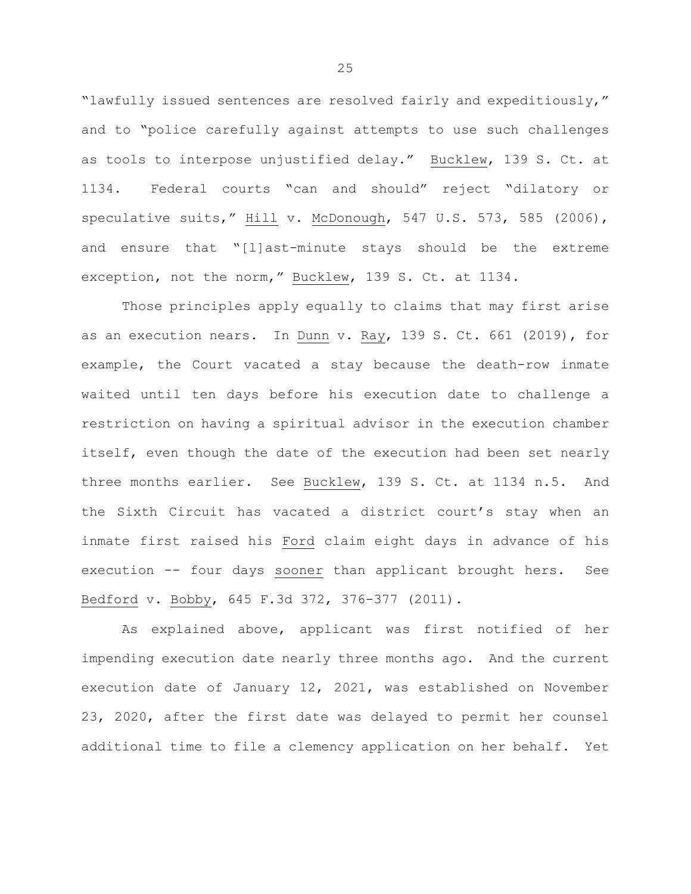"lawfully issued sentences are resolved fairly and expeditiously," and to "police carefully against attempts to use such challenges as tools to interpose unjustified delay." Bucklew, 139 S. Ct. at 1134. Federal courts "can and should" reject "dilatory or speculative suits," Hill v. McDonough, 547 U.S. 573, 585 (2006), and ensure that "[l]ast-minute stays should be the extreme exception, not the norm," Bucklew, 139 S. Ct. at 1134.

Those principles apply equally to claims that may first arise as an execution nears. In Dunn v. Ray, 139 S. Ct. 661 (2019), for example, the Court vacated a stay because the death-row inmate waited until ten days before his execution date to challenge a restriction on having a spiritual advisor in the execution chamber itself, even though the date of the execution had been set nearly three months earlier. See Bucklew, 139 S. Ct. at 1134 n.5. And the Sixth Circuit has vacated a district court's stay when an inmate first raised his Ford claim eight days in advance of his execution -- four days sooner than applicant brought hers. See Bedford v. Bobby, 645 F.3d 372, 376-377 (2011).

As explained above, applicant was first notified of her impending execution date nearly three months ago. And the current execution date of January 12, 2021, was established on November 23, 2020, after the first date was delayed to permit her counsel additional time to file a clemency application on her behalf. Yet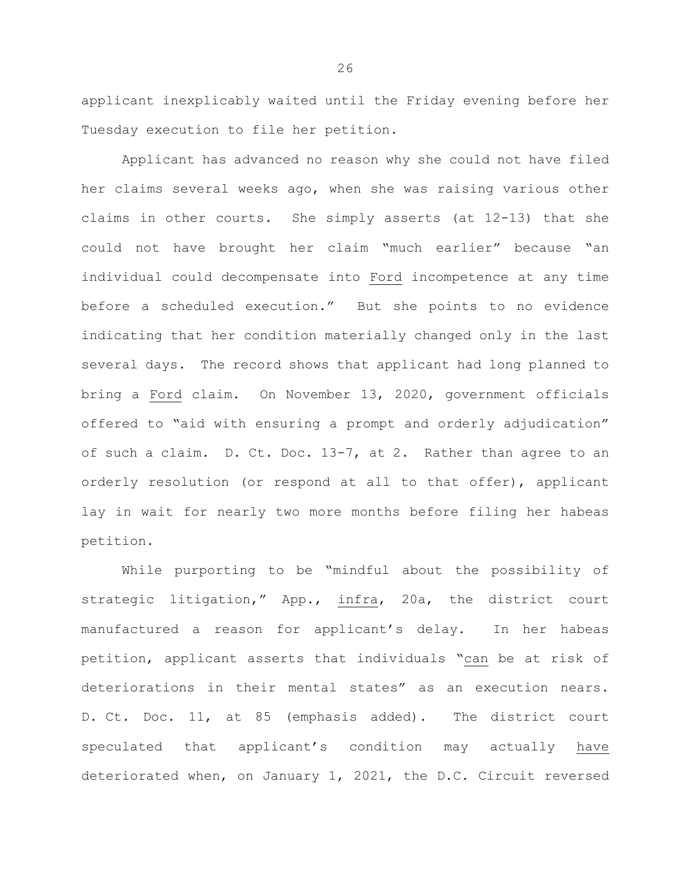applicant inexplicably waited until the Friday evening before her Tuesday execution to file her petition.

Applicant has advanced no reason why she could not have filed her claims several weeks ago, when she was raising various other claims in other courts. She simply asserts (at 12-13) that she could not have brought her claim "much earlier" because "an individual could decompensate into Ford incompetence at any time before a scheduled execution." But she points to no evidence indicating that her condition materially changed only in the last several days. The record shows that applicant had long planned to bring a Ford claim. On November 13, 2020, government officials offered to "aid with ensuring a prompt and orderly adjudication" of such a claim. D. Ct. Doc. 13-7, at 2. Rather than agree to an orderly resolution (or respond at all to that offer), applicant lay in wait for nearly two more months before filing her habeas petition.

While purporting to be "mindful about the possibility of strategic litigation," App., infra, 20a, the district court manufactured a reason for applicant's delay. In her habeas petition, applicant asserts that individuals "can be at risk of deteriorations in their mental states" as an execution nears. D. Ct. Doc. 11, at 85 (emphasis added). The district court speculated that applicant's condition may actually have deteriorated when, on January 1, 2021, the D.C. Circuit reversed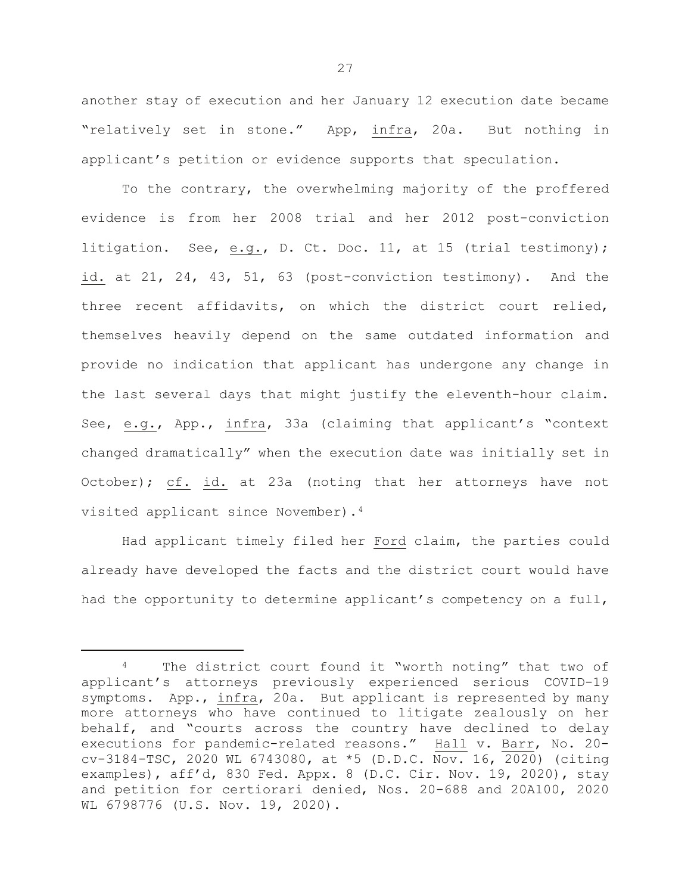another stay of execution and her January 12 execution date became "relatively set in stone." App, infra, 20a. But nothing in applicant's petition or evidence supports that speculation.

To the contrary, the overwhelming majority of the proffered evidence is from her 2008 trial and her 2012 post-conviction litigation. See, e.g., D. Ct. Doc. 11, at 15 (trial testimony); id. at 21, 24, 43, 51, 63 (post-conviction testimony). And the three recent affidavits, on which the district court relied, themselves heavily depend on the same outdated information and provide no indication that applicant has undergone any change in the last several days that might justify the eleventh-hour claim. See, e.g., App., infra, 33a (claiming that applicant's "context changed dramatically" when the execution date was initially set in October); cf. id. at 23a (noting that her attorneys have not visited applicant since November).[4](#page-29-0)

Had applicant timely filed her Ford claim, the parties could already have developed the facts and the district court would have had the opportunity to determine applicant's competency on a full,

Ĩ.

<span id="page-29-0"></span>The district court found it "worth noting" that two of applicant's attorneys previously experienced serious COVID-19 symptoms. App., infra, 20a. But applicant is represented by many more attorneys who have continued to litigate zealously on her behalf, and "courts across the country have declined to delay executions for pandemic-related reasons." Hall v. Barr, No. 20 cv-3184-TSC, 2020 WL 6743080, at \*5 (D.D.C. Nov. 16, 2020) (citing examples), aff'd, 830 Fed. Appx. 8 (D.C. Cir. Nov. 19, 2020), stay and petition for certiorari denied, Nos. 20-688 and 20A100, 2020 WL 6798776 (U.S. Nov. 19, 2020).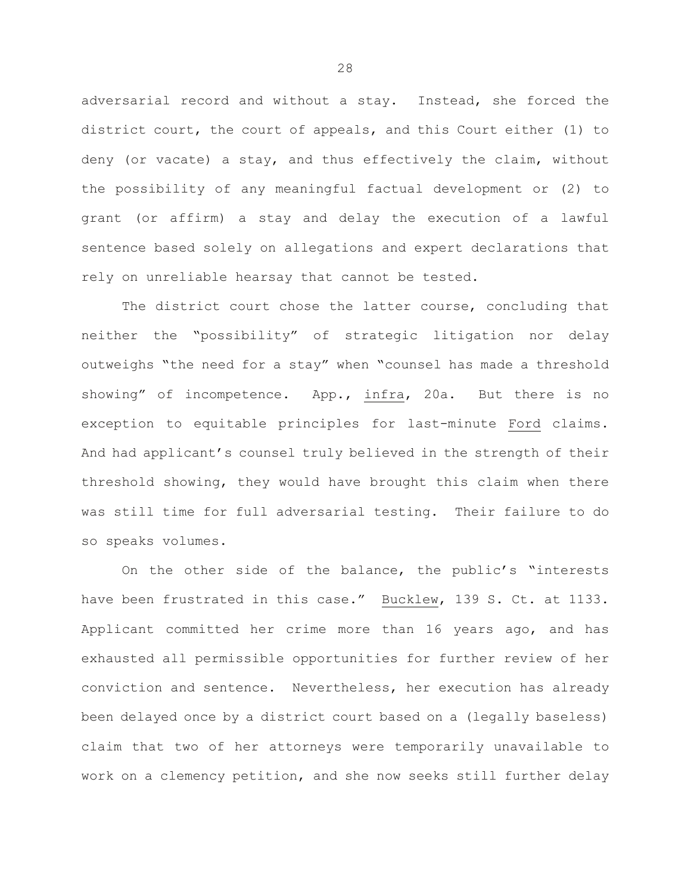adversarial record and without a stay. Instead, she forced the district court, the court of appeals, and this Court either (1) to deny (or vacate) a stay, and thus effectively the claim, without the possibility of any meaningful factual development or (2) to grant (or affirm) a stay and delay the execution of a lawful sentence based solely on allegations and expert declarations that rely on unreliable hearsay that cannot be tested.

The district court chose the latter course, concluding that neither the "possibility" of strategic litigation nor delay outweighs "the need for a stay" when "counsel has made a threshold showing" of incompetence. App., infra, 20a. But there is no exception to equitable principles for last-minute Ford claims. And had applicant's counsel truly believed in the strength of their threshold showing, they would have brought this claim when there was still time for full adversarial testing. Their failure to do so speaks volumes.

On the other side of the balance, the public's "interests have been frustrated in this case." Bucklew, 139 S. Ct. at 1133. Applicant committed her crime more than 16 years ago, and has exhausted all permissible opportunities for further review of her conviction and sentence. Nevertheless, her execution has already been delayed once by a district court based on a (legally baseless) claim that two of her attorneys were temporarily unavailable to work on a clemency petition, and she now seeks still further delay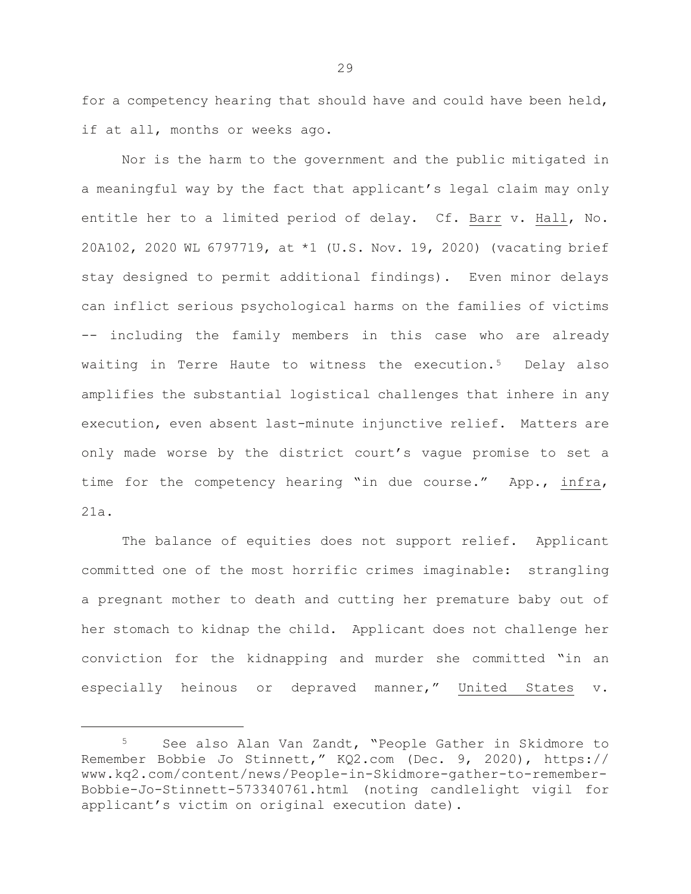for a competency hearing that should have and could have been held, if at all, months or weeks ago.

Nor is the harm to the government and the public mitigated in a meaningful way by the fact that applicant's legal claim may only entitle her to a limited period of delay. Cf. Barr v. Hall, No. 20A102, 2020 WL 6797719, at \*1 (U.S. Nov. 19, 2020) (vacating brief stay designed to permit additional findings). Even minor delays can inflict serious psychological harms on the families of victims -- including the family members in this case who are already waiting in Terre Haute to witness the execution.<sup>[5](#page-31-0)</sup> Delay also amplifies the substantial logistical challenges that inhere in any execution, even absent last-minute injunctive relief. Matters are only made worse by the district court's vague promise to set a time for the competency hearing "in due course." App., infra, 21a.

The balance of equities does not support relief. Applicant committed one of the most horrific crimes imaginable: strangling a pregnant mother to death and cutting her premature baby out of her stomach to kidnap the child. Applicant does not challenge her conviction for the kidnapping and murder she committed "in an especially heinous or depraved manner," United States v.

Ĩ.

<span id="page-31-0"></span><sup>5</sup> See also Alan Van Zandt, "People Gather in Skidmore to Remember Bobbie Jo Stinnett," KQ2.com (Dec. 9, 2020), https:// www.kq2.com/content/news/People-in-Skidmore-gather-to-remember-Bobbie-Jo-Stinnett-573340761.html (noting candlelight vigil for applicant's victim on original execution date).